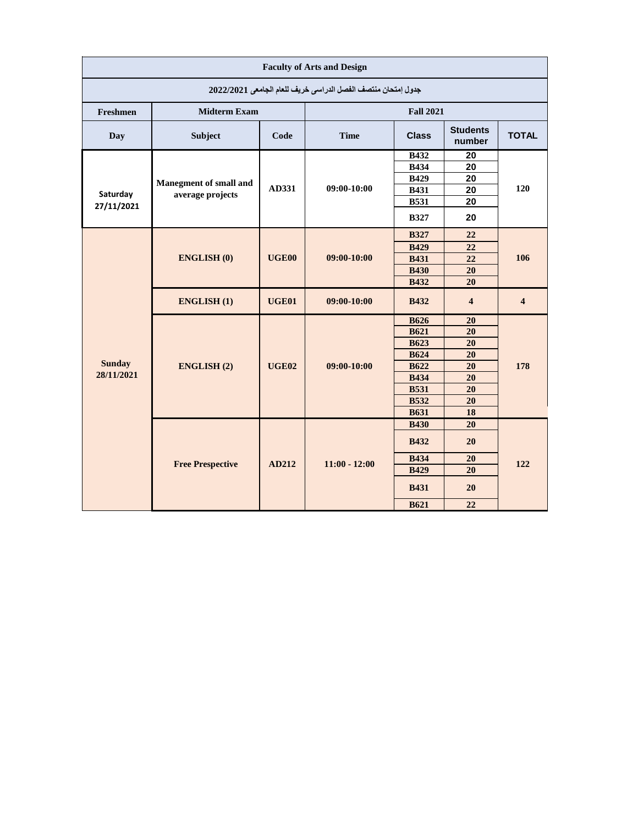| <b>Faculty of Arts and Design</b>                            |                         |                   |                  |              |                           |                         |  |  |
|--------------------------------------------------------------|-------------------------|-------------------|------------------|--------------|---------------------------|-------------------------|--|--|
| جدول إمتحان منتصف الفصل الدراسي خريف للعام الجامعي 2022/2021 |                         |                   |                  |              |                           |                         |  |  |
| Freshmen                                                     | <b>Midterm Exam</b>     |                   | <b>Fall 2021</b> |              |                           |                         |  |  |
| Day                                                          | Subject                 | Code              | <b>Time</b>      | <b>Class</b> | <b>Students</b><br>number | <b>TOTAL</b>            |  |  |
|                                                              |                         |                   |                  | <b>B432</b>  | 20                        |                         |  |  |
|                                                              |                         |                   |                  | <b>B434</b>  | 20                        |                         |  |  |
|                                                              | Manegment of small and  |                   |                  | <b>B429</b>  | 20                        |                         |  |  |
| Saturday                                                     | average projects        | AD331             | 09:00-10:00      | <b>B431</b>  | 20                        | 120                     |  |  |
| 27/11/2021                                                   |                         |                   |                  | <b>B531</b>  | 20                        |                         |  |  |
|                                                              |                         |                   |                  | <b>B327</b>  | 20                        |                         |  |  |
|                                                              |                         |                   | 09:00-10:00      | <b>B327</b>  | 22                        | 106                     |  |  |
|                                                              |                         |                   |                  | <b>B429</b>  | 22                        |                         |  |  |
|                                                              | <b>ENGLISH (0)</b>      | UGE <sub>00</sub> |                  | <b>B431</b>  | 22                        |                         |  |  |
|                                                              |                         |                   |                  | <b>B430</b>  | 20                        |                         |  |  |
|                                                              |                         |                   |                  | <b>B432</b>  | 20                        |                         |  |  |
|                                                              | <b>ENGLISH(1)</b>       | <b>UGE01</b>      | 09:00-10:00      | <b>B432</b>  | $\overline{\mathbf{4}}$   | $\overline{\mathbf{4}}$ |  |  |
|                                                              | <b>ENGLISH (2)</b>      | <b>UGE02</b>      | 09:00-10:00      | <b>B626</b>  | 20                        | 178                     |  |  |
|                                                              |                         |                   |                  | <b>B621</b>  | 20                        |                         |  |  |
|                                                              |                         |                   |                  | <b>B623</b>  | 20                        |                         |  |  |
|                                                              |                         |                   |                  | <b>B624</b>  | 20                        |                         |  |  |
| <b>Sunday</b>                                                |                         |                   |                  | <b>B622</b>  | 20                        |                         |  |  |
| 28/11/2021                                                   |                         |                   |                  | <b>B434</b>  | 20                        |                         |  |  |
|                                                              |                         |                   |                  | <b>B531</b>  | 20                        |                         |  |  |
|                                                              |                         |                   |                  | <b>B532</b>  | 20                        |                         |  |  |
|                                                              |                         |                   |                  | <b>B631</b>  | 18                        |                         |  |  |
|                                                              | <b>Free Prespective</b> | AD212             | $11:00 - 12:00$  | <b>B430</b>  | 20                        | 122                     |  |  |
|                                                              |                         |                   |                  | <b>B432</b>  | 20                        |                         |  |  |
|                                                              |                         |                   |                  | <b>B434</b>  | 20                        |                         |  |  |
|                                                              |                         |                   |                  | <b>B429</b>  | 20                        |                         |  |  |
|                                                              |                         |                   |                  | <b>B431</b>  | 20                        |                         |  |  |
|                                                              |                         |                   |                  | <b>B621</b>  | 22                        |                         |  |  |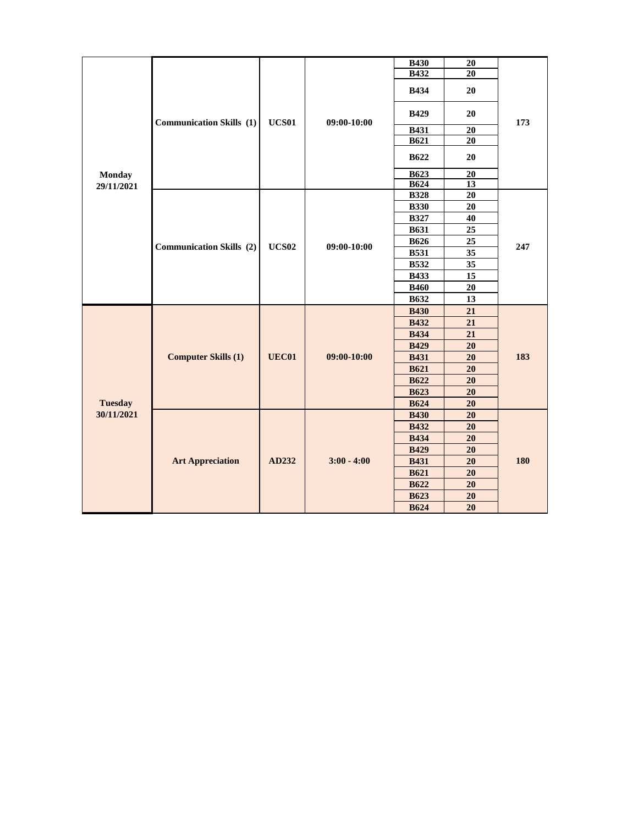| <b>Monday</b><br>29/11/2021 | <b>Communication Skills</b> (1) | <b>UCS01</b> | 09:00-10:00   | <b>B430</b> | ${\bf 20}$      | 173 |
|-----------------------------|---------------------------------|--------------|---------------|-------------|-----------------|-----|
|                             |                                 |              |               | <b>B432</b> | 20              |     |
|                             |                                 |              |               | <b>B434</b> | 20              |     |
|                             |                                 |              |               | <b>B429</b> | 20              |     |
|                             |                                 |              |               | <b>B431</b> | 20              |     |
|                             |                                 |              |               | <b>B621</b> | $\overline{20}$ |     |
|                             |                                 |              |               | <b>B622</b> | 20              |     |
|                             |                                 |              |               | <b>B623</b> | $20\,$          |     |
|                             |                                 |              |               | <b>B624</b> | $\overline{13}$ |     |
|                             |                                 |              |               | <b>B328</b> | 20              | 247 |
|                             |                                 |              |               | <b>B330</b> | 20              |     |
|                             |                                 |              |               | <b>B327</b> | 40              |     |
|                             |                                 |              |               | <b>B631</b> | $\overline{25}$ |     |
|                             |                                 | <b>UCS02</b> |               | <b>B626</b> | 25              |     |
|                             | <b>Communication Skills</b> (2) |              | 09:00-10:00   | <b>B531</b> | 35              |     |
|                             |                                 |              |               | <b>B532</b> | 35              |     |
|                             |                                 |              |               | <b>B433</b> | 15              |     |
|                             |                                 |              |               | <b>B460</b> | 20              |     |
|                             |                                 |              |               | <b>B632</b> | 13              |     |
|                             | <b>Computer Skills (1)</b>      | <b>UEC01</b> | 09:00-10:00   | <b>B430</b> | 21              | 183 |
|                             |                                 |              |               | <b>B432</b> | 21              |     |
|                             |                                 |              |               | <b>B434</b> | 21              |     |
|                             |                                 |              |               | <b>B429</b> | 20              |     |
|                             |                                 |              |               | <b>B431</b> | 20              |     |
|                             |                                 |              |               | <b>B621</b> | 20              |     |
| <b>Tuesday</b>              |                                 |              |               | <b>B622</b> | 20              |     |
|                             |                                 |              |               | <b>B623</b> | 20              |     |
|                             |                                 |              |               | <b>B624</b> | 20              |     |
| 30/11/2021                  | <b>Art Appreciation</b>         | AD232        | $3:00 - 4:00$ | <b>B430</b> | $\overline{20}$ | 180 |
|                             |                                 |              |               | <b>B432</b> | $20\,$          |     |
|                             |                                 |              |               | <b>B434</b> | 20              |     |
|                             |                                 |              |               | <b>B429</b> | 20              |     |
|                             |                                 |              |               | <b>B431</b> | 20              |     |
|                             |                                 |              |               | <b>B621</b> | 20              |     |
|                             |                                 |              |               | <b>B622</b> | 20              |     |
|                             |                                 |              |               | <b>B623</b> | 20              |     |
|                             |                                 |              |               | <b>B624</b> | 20              |     |